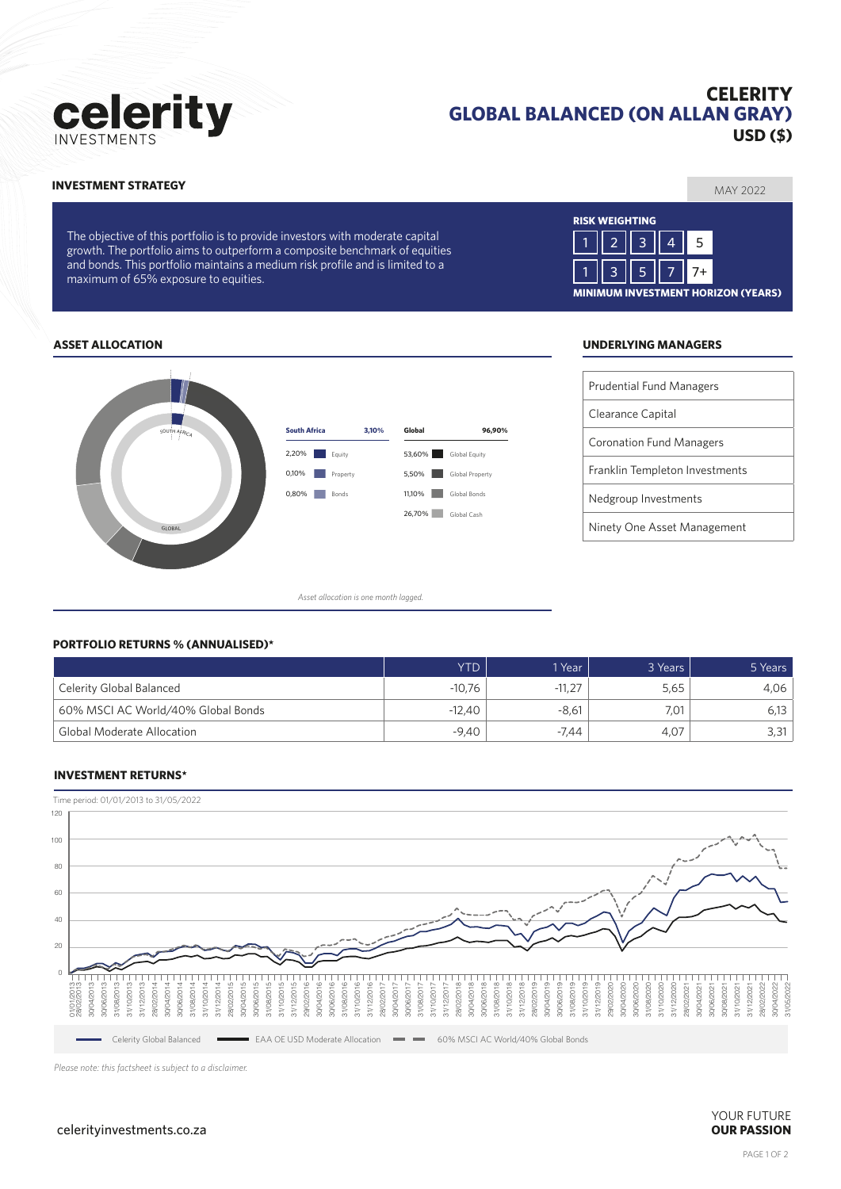# celerity

# **CELERITY GLOBAL BALANCED (ON ALLAN GRAY) USD (\$)**

### MAY 2022 **INVESTMENT STRATEGY**

The objective of this portfolio is to provide investors with moderate capital growth. The portfolio aims to outperform a composite benchmark of equities and bonds. This portfolio maintains a medium risk profile and is limited to a maximum of 65% exposure to equities.



#### **ASSET ALLOCATION UNDERLYING MANAGERS**



*Asset allocation is one month lagged.*

| <b>Prudential Fund Managers</b> |
|---------------------------------|
| Clearance Capital               |
| <b>Coronation Fund Managers</b> |
| Franklin Templeton Investments  |
| Nedgroup Investments            |
| Ninety One Asset Management     |

#### **PORTFOLIO RETURNS % (ANNUALISED)\***

|                                    | <b>YTD</b> | 1 Year   | 3 Years | 5 Years |
|------------------------------------|------------|----------|---------|---------|
| Celerity Global Balanced           | $-10.76$   | $-11,27$ | 5.65    | 4.06    |
| 60% MSCI AC World/40% Global Bonds | $-12.40$   | $-8.61$  | 7.01    |         |
| <b>Global Moderate Allocation</b>  | $-9.40$    | -7.44    | 4.07    | 3,31    |

#### **INVESTMENT RETURNS\***



*Please note: this factsheet is subject to a disclaimer.*